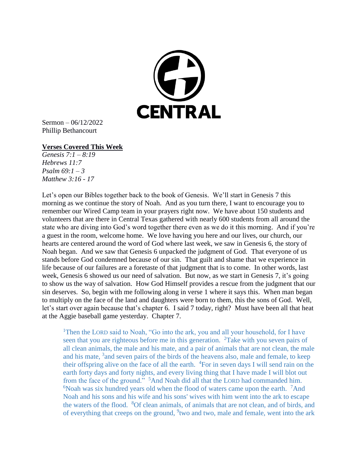

Sermon – 06/12/2022 Phillip Bethancourt

## **Verses Covered This Week**

*Genesis 7:1 – 8:19 Hebrews 11:7 Psalm 69:1 – 3 Matthew 3:16 - 17*

Let's open our Bibles together back to the book of Genesis. We'll start in Genesis 7 this morning as we continue the story of Noah. And as you turn there, I want to encourage you to remember our Wired Camp team in your prayers right now. We have about 150 students and volunteers that are there in Central Texas gathered with nearly 600 students from all around the state who are diving into God's word together there even as we do it this morning. And if you're a guest in the room, welcome home. We love having you here and our lives, our church, our hearts are centered around the word of God where last week, we saw in Genesis 6, the story of Noah began. And we saw that Genesis 6 unpacked the judgment of God. That everyone of us stands before God condemned because of our sin. That guilt and shame that we experience in life because of our failures are a foretaste of that judgment that is to come. In other words, last week, Genesis 6 showed us our need of salvation. But now, as we start in Genesis 7, it's going to show us the way of salvation. How God Himself provides a rescue from the judgment that our sin deserves. So, begin with me following along in verse 1 where it says this. When man began to multiply on the face of the land and daughters were born to them, this the sons of God. Well, let's start over again because that's chapter 6. I said 7 today, right? Must have been all that heat at the Aggie baseball game yesterday. Chapter 7.

<sup>1</sup>Then the LORD said to Noah, "Go into the ark, you and all your household, for I have seen that you are righteous before me in this generation.  $2$ Take with you seven pairs of all clean animals, the male and his mate, and a pair of animals that are not clean, the male and his mate,  $3$  and seven pairs of the birds of the heavens also, male and female, to keep their offspring alive on the face of all the earth.  $4$ For in seven days I will send rain on the earth forty days and forty nights, and every living thing that I have made I will blot out from the face of the ground." <sup>5</sup>And Noah did all that the LORD had commanded him.  $6N$ oah was six hundred years old when the flood of waters came upon the earth. <sup>7</sup>And Noah and his sons and his wife and his sons' wives with him went into the ark to escape the waters of the flood. <sup>8</sup>Of clean animals, of animals that are not clean, and of birds, and of everything that creeps on the ground, <sup>9</sup> two and two, male and female, went into the ark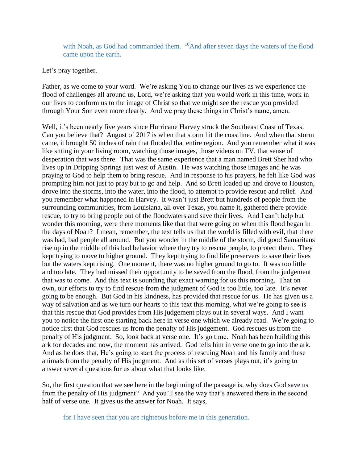with Noah, as God had commanded them. <sup>10</sup>And after seven days the waters of the flood came upon the earth.

## Let's pray together.

Father, as we come to your word. We're asking You to change our lives as we experience the flood of challenges all around us, Lord, we're asking that you would work in this time, work in our lives to conform us to the image of Christ so that we might see the rescue you provided through Your Son even more clearly. And we pray these things in Christ's name, amen.

Well, it's been nearly five years since Hurricane Harvey struck the Southeast Coast of Texas. Can you believe that? August of 2017 is when that storm hit the coastline. And when that storm came, it brought 50 inches of rain that flooded that entire region. And you remember what it was like sitting in your living room, watching those images, those videos on TV, that sense of desperation that was there. That was the same experience that a man named Brett Sher had who lives up in Dripping Springs just west of Austin. He was watching those images and he was praying to God to help them to bring rescue. And in response to his prayers, he felt like God was prompting him not just to pray but to go and help. And so Brett loaded up and drove to Houston, drove into the storms, into the water, into the flood, to attempt to provide rescue and relief. And you remember what happened in Harvey. It wasn't just Brett but hundreds of people from the surrounding communities, from Louisiana, all over Texas, you name it, gathered there provide rescue, to try to bring people out of the floodwaters and save their lives. And I can't help but wonder this morning, were there moments like that that were going on when this flood began in the days of Noah? I mean, remember, the text tells us that the world is filled with evil, that there was bad, bad people all around. But you wonder in the middle of the storm, did good Samaritans rise up in the middle of this bad behavior where they try to rescue people, to protect them. They kept trying to move to higher ground. They kept trying to find life preservers to save their lives but the waters kept rising. One moment, there was no higher ground to go to. It was too little and too late. They had missed their opportunity to be saved from the flood, from the judgement that was to come. And this text is sounding that exact warning for us this morning. That on own, our efforts to try to find rescue from the judgment of God is too little, too late. It's never going to be enough. But God in his kindness, has provided that rescue for us. He has given us a way of salvation and as we turn our hearts to this text this morning, what we're going to see is that this rescue that God provides from His judgement plays out in several ways. And I want you to notice the first one starting back here in verse one which we already read. We're going to notice first that God rescues us from the penalty of His judgement. God rescues us from the penalty of His judgment. So, look back at verse one. It's go time. Noah has been building this ark for decades and now, the moment has arrived. God tells him in verse one to go into the ark. And as he does that, He's going to start the process of rescuing Noah and his family and these animals from the penalty of His judgment. And as this set of verses plays out, it's going to answer several questions for us about what that looks like.

So, the first question that we see here in the beginning of the passage is, why does God save us from the penalty of His judgment? And you'll see the way that's answered there in the second half of verse one. It gives us the answer for Noah. It says,

for I have seen that you are righteous before me in this generation.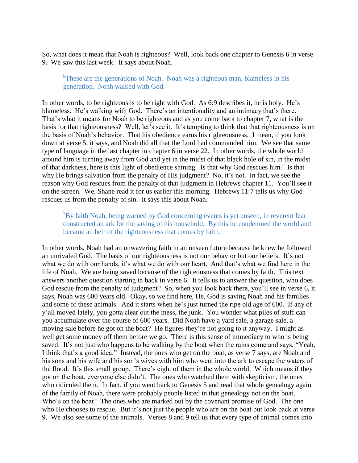So, what does it mean that Noah is righteous? Well, look back one chapter to Genesis 6 in verse 9. We saw this last week. It says about Noah.

<sup>9</sup>These are the generations of Noah. Noah was a righteous man, blameless in his generation. Noah walked with God.

In other words, to be righteous is to be right with God. As 6:9 describes it, he is holy. He's blameless. He's walking with God. There's an intentionality and an intimacy that's there. That's what it means for Noah to be righteous and as you come back to chapter 7, what is the basis for that righteousness? Well, let's see it. It's tempting to think that that righteousness is on the basis of Noah's behavior. That his obedience earns his righteousness. I mean, if you look down at verse 5, it says, and Noah did all that the Lord had commanded him. We see that same type of language in the last chapter in chapter 6 in verse 22. In other words, the whole world around him is turning away from God and yet in the midst of that black hole of sin, in the midst of that darkness, here is this light of obedience shining. Is that why God rescues him? Is that why He brings salvation from the penalty of His judgment? No, it's not. In fact, we see the reason why God rescues from the penalty of that judgment in Hebrews chapter 11. You'll see it on the screen. We, Shane read it for us earlier this morning. Hebrews 11:7 tells us why God rescues us from the penalty of sin. It says this about Noah.

 $7By$  faith Noah, being warned by God concerning events is yet unseen, in reverent fear constructed an ark for the saving of his household. By this he condemned the world and became an heir of the righteousness that comes by faith.

In other words, Noah had an unwavering faith in an unseen future because he knew he followed an unrivaled God. The basis of our righteousness is not our behavior but our beliefs. It's not what we do with our hands, it's what we do with our heart. And that's what we find here in the life of Noah. We are being saved because of the righteousness that comes by faith. This text answers another question starting in back in verse 6. It tells us to answer the question, who does God rescue from the penalty of judgment? So, when you look back there, you'll see in verse 6, it says, Noah was 600 years old. Okay, so we find here, He, God is saving Noah and his families and some of these animals. And it starts when he's just turned the ripe old age of 600. If any of y'all moved lately, you gotta clear out the mess, the junk. You wonder what piles of stuff can you accumulate over the course of 600 years. Did Noah have a yard sale, a garage sale, a moving sale before he got on the boat? He figures they're not going to it anyway. I might as well get some money off them before we go. There is this sense of immediacy to who is being saved. It's not just who happens to be walking by the boat when the rains come and says, "Yeah, I think that's a good idea." Instead, the ones who get on the boat, as verse 7 says, are Noah and his sons and his wife and his son's wives with him who went into the ark to escape the waters of the flood. It's this small group. There's eight of them in the whole world. Which means if they got on the boat, everyone else didn't. The ones who watched them with skepticism, the ones who ridiculed them. In fact, if you went back to Genesis 5 and read that whole genealogy again of the family of Noah, there were probably people listed in that genealogy not on the boat. Who's on the boat? The ones who are marked out by the covenant promise of God. The one who He chooses to rescue. But it's not just the people who are on the boat but look back at verse 9. We also see some of the animals. Verses 8 and 9 tell us that every type of animal comes into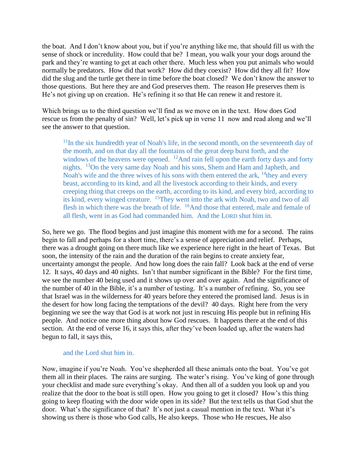the boat. And I don't know about you, but if you're anything like me, that should fill us with the sense of shock or incredulity. How could that be? I mean, you walk your your dogs around the park and they're wanting to get at each other there. Much less when you put animals who would normally be predators. How did that work? How did they coexist? How did they all fit? How did the slug and the turtle get there in time before the boat closed? We don't know the answer to those questions. But here they are and God preserves them. The reason He preserves them is He's not giving up on creation. He's refining it so that He can renew it and restore it.

Which brings us to the third question we'll find as we move on in the text. How does God rescue us from the penalty of sin? Well, let's pick up in verse 11 now and read along and we'll see the answer to that question.

 $11$ In the six hundredth year of Noah's life, in the second month, on the seventeenth day of the month, and on that day all the fountains of the great deep burst forth, and the windows of the heavens were opened.  $\frac{12}{2}$ And rain fell upon the earth forty days and forty nights. <sup>13</sup>On the very same day Noah and his sons, Shem and Ham and Japheth, and Noah's wife and the three wives of his sons with them entered the ark,  $^{14}$ they and every beast, according to its kind, and all the livestock according to their kinds, and every creeping thing that creeps on the earth, according to its kind, and every bird, according to its kind, every winged creature. <sup>15</sup>They went into the ark with Noah, two and two of all flesh in which there was the breath of life. <sup>16</sup>And those that entered, male and female of all flesh, went in as God had commanded him. And the LORD shut him in.

So, here we go. The flood begins and just imagine this moment with me for a second. The rains begin to fall and perhaps for a short time, there's a sense of appreciation and relief. Perhaps, there was a drought going on there much like we experience here right in the heart of Texas. But soon, the intensity of the rain and the duration of the rain begins to create anxiety fear, uncertainty amongst the people. And how long does the rain fall? Look back at the end of verse 12. It says, 40 days and 40 nights. Isn't that number significant in the Bible? For the first time, we see the number 40 being used and it shows up over and over again. And the significance of the number of 40 in the Bible, it's a number of testing. It's a number of refining. So, you see that Israel was in the wilderness for 40 years before they entered the promised land. Jesus is in the desert for how long facing the temptations of the devil? 40 days. Right here from the very beginning we see the way that God is at work not just in rescuing His people but in refining His people. And notice one more thing about how God rescues. It happens there at the end of this section. At the end of verse 16, it says this, after they've been loaded up, after the waters had begun to fall, it says this,

## and the Lord shut him in.

Now, imagine if you're Noah. You've shepherded all these animals onto the boat. You've got them all in their places. The rains are surging. The water's rising. You've king of gone through your checklist and made sure everything's okay. And then all of a sudden you look up and you realize that the door to the boat is still open. How you going to get it closed? How's this thing going to keep floating with the door wide open in its side? But the text tells us that God shut the door. What's the significance of that? It's not just a casual mention in the text. What it's showing us there is those who God calls, He also keeps. Those who He rescues, He also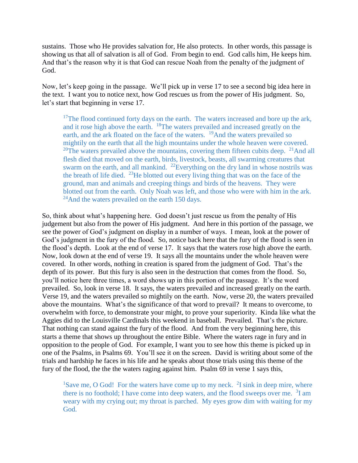sustains. Those who He provides salvation for, He also protects. In other words, this passage is showing us that all of salvation is all of God. From begin to end. God calls him, He keeps him. And that's the reason why it is that God can rescue Noah from the penalty of the judgment of God.

Now, let's keep going in the passage. We'll pick up in verse 17 to see a second big idea here in the text. I want you to notice next, how God rescues us from the power of His judgment. So, let's start that beginning in verse 17.

<sup>17</sup>The flood continued forty days on the earth. The waters increased and bore up the ark, and it rose high above the earth. <sup>18</sup>The waters prevailed and increased greatly on the earth, and the ark floated on the face of the waters. <sup>19</sup>And the waters prevailed so mightily on the earth that all the high mountains under the whole heaven were covered. <sup>20</sup>The waters prevailed above the mountains, covering them fifteen cubits deep. <sup>21</sup>And all flesh died that moved on the earth, birds, livestock, beasts, all swarming creatures that swarm on the earth, and all mankind. <sup>22</sup>Everything on the dry land in whose nostrils was the breath of life died. <sup>23</sup>He blotted out every living thing that was on the face of the ground, man and animals and creeping things and birds of the heavens. They were blotted out from the earth. Only Noah was left, and those who were with him in the ark.  $24$ And the waters prevailed on the earth 150 days.

So, think about what's happening here. God doesn't just rescue us from the penalty of His judgement but also from the power of His judgment. And here in this portion of the passage, we see the power of God's judgment on display in a number of ways. I mean, look at the power of God's judgment in the fury of the flood. So, notice back here that the fury of the flood is seen in the flood's depth. Look at the end of verse 17. It says that the waters rose high above the earth. Now, look down at the end of verse 19. It says all the mountains under the whole heaven were covered. In other words, nothing in creation is spared from the judgment of God. That's the depth of its power. But this fury is also seen in the destruction that comes from the flood. So, you'll notice here three times, a word shows up in this portion of the passage. It's the word prevailed. So, look in verse 18. It says, the waters prevailed and increased greatly on the earth. Verse 19, and the waters prevailed so mightily on the earth. Now, verse 20, the waters prevailed above the mountains. What's the significance of that word to prevail? It means to overcome, to overwhelm with force, to demonstrate your might, to prove your superiority. Kinda like what the Aggies did to the Louisville Cardinals this weekend in baseball. Prevailed. That's the picture. That nothing can stand against the fury of the flood. And from the very beginning here, this starts a theme that shows up throughout the entire Bible. Where the waters rage in fury and in opposition to the people of God. For example, I want you to see how this theme is picked up in one of the Psalms, in Psalms 69. You'll see it on the screen. David is writing about some of the trials and hardship he faces in his life and he speaks about those trials using this theme of the fury of the flood, the the the waters raging against him. Psalm 69 in verse 1 says this,

<sup>1</sup>Save me, O God! For the waters have come up to my neck.  $2I \sin k$  in deep mire, where there is no foothold; I have come into deep waters, and the flood sweeps over me.  $3I$  am weary with my crying out; my throat is parched. My eyes grow dim with waiting for my God.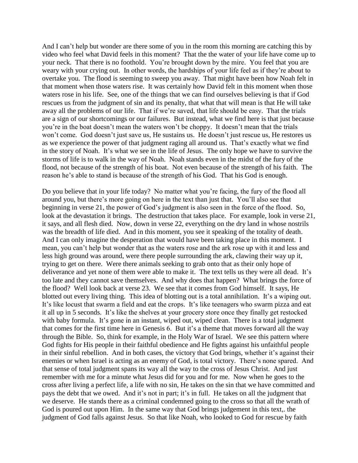And I can't help but wonder are there some of you in the room this morning are catching this by video who feel what David feels in this moment? That the the water of your life have come up to your neck. That there is no foothold. You're brought down by the mire. You feel that you are weary with your crying out. In other words, the hardships of your life feel as if they're about to overtake you. The flood is seeming to sweep you away. That might have been how Noah felt in that moment when those waters rise. It was certainly how David felt in this moment when those waters rose in his life. See, one of the things that we can find ourselves believing is that if God rescues us from the judgment of sin and its penalty, that what that will mean is that He will take away all the problems of our life. That if we're saved, that life should be easy. That the trials are a sign of our shortcomings or our failures. But instead, what we find here is that just because you're in the boat doesn't mean the waters won't be choppy. It doesn't mean that the trials won't come. God doesn't just save us, He sustains us. He doesn't just rescue us, He restores us as we experience the power of that judgment raging all around us. That's exactly what we find in the story of Noah. It's what we see in the life of Jesus. The only hope we have to survive the storms of life is to walk in the way of Noah. Noah stands even in the midst of the fury of the flood, not because of the strength of his boat. Not even because of the strength of his faith. The reason he's able to stand is because of the strength of his God. That his God is enough.

Do you believe that in your life today? No matter what you're facing, the fury of the flood all around you, but there's more going on here in the text than just that. You'll also see that beginning in verse 21, the power of God's judgment is also seen in the force of the flood. So, look at the devastation it brings. The destruction that takes place. For example, look in verse 21, it says, and all flesh died. Now, down in verse 22, everything on the dry land in whose nostrils was the breadth of life died. And in this moment, you see it speaking of the totality of death. And I can only imagine the desperation that would have been taking place in this moment. I mean, you can't help but wonder that as the waters rose and the ark rose up with it and less and less high ground was around, were there people surrounding the ark, clawing their way up it, trying to get on there. Were there animals seeking to grab onto that as their only hope of deliverance and yet none of them were able to make it. The text tells us they were all dead. It's too late and they cannot save themselves. And why does that happen? What brings the force of the flood? Well look back at verse 23. We see that it comes from God himself. It says, He blotted out every living thing. This idea of blotting out is a total annihilation. It's a wiping out. It's like locust that swarm a field and eat the crops. It's like teenagers who swarm pizza and eat it all up in 5 seconds. It's like the shelves at your grocery store once they finally get restocked with baby formula. It's gone in an instant, wiped out, wiped clean. There is a total judgment that comes for the first time here in Genesis 6. But it's a theme that moves forward all the way through the Bible. So, think for example, in the Holy War of Israel. We see this pattern where God fights for His people in their faithful obedience and He fights against his unfaithful people in their sinful rebellion. And in both cases, the victory that God brings, whether it's against their enemies or when Israel is acting as an enemy of God, is total victory. There's none spared. And that sense of total judgment spans its way all the way to the cross of Jesus Christ. And just remember with me for a minute what Jesus did for you and for me. Now when he goes to the cross after living a perfect life, a life with no sin, He takes on the sin that we have committed and pays the debt that we owed. And it's not in part; it's in full. He takes on all the judgment that we deserve. He stands there as a criminal condemned going to the cross so that all the wrath of God is poured out upon Him. In the same way that God brings judgement in this text,. the judgment of God falls against Jesus. So that like Noah, who looked to God for rescue by faith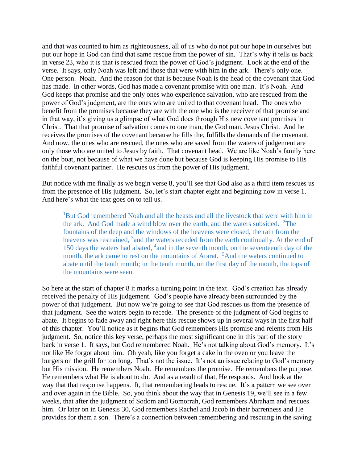and that was counted to him as righteousness, all of us who do not put our hope in ourselves but put our hope in God can find that same rescue from the power of sin. That's why it tells us back in verse 23, who it is that is rescued from the power of God's judgment. Look at the end of the verse. It says, only Noah was left and those that were with him in the ark. There's only one. One person. Noah. And the reason for that is because Noah is the head of the covenant that God has made. In other words, God has made a covenant promise with one man. It's Noah. And God keeps that promise and the only ones who experience salvation, who are rescued from the power of God's judgment, are the ones who are united to that covenant head. The ones who benefit from the promises because they are with the one who is the receiver of that promise and in that way, it's giving us a glimpse of what God does through His new covenant promises in Christ. That that promise of salvation comes to one man, the God man, Jesus Christ. And he receives the promises of the covenant because he fills the, fulfills the demands of the covenant. And now, the ones who are rescued, the ones who are saved from the waters of judgement are only those who are united to Jesus by faith. That covenant head. We are like Noah's family here on the boat, not because of what we have done but because God is keeping His promise to His faithful covenant partner. He rescues us from the power of His judgment.

But notice with me finally as we begin verse 8, you'll see that God also as a third item rescues us from the presence of His judgment. So, let's start chapter eight and beginning now in verse 1. And here's what the text goes on to tell us.

<sup>1</sup>But God remembered Noah and all the beasts and all the livestock that were with him in the ark. And God made a wind blow over the earth, and the waters subsided.  $2$ The fountains of the deep and the windows of the heavens were closed, the rain from the heavens was restrained, <sup>3</sup> and the waters receded from the earth continually. At the end of 150 days the waters had abated, <sup>4</sup> and in the seventh month, on the seventeenth day of the month, the ark came to rest on the mountains of Ararat. <sup>5</sup>And the waters continued to abate until the tenth month; in the tenth month, on the first day of the month, the tops of the mountains were seen.

So here at the start of chapter 8 it marks a turning point in the text. God's creation has already received the penalty of His judgement. God's people have already been surrounded by the power of that judgement. But now we're going to see that God rescues us from the presence of that judgment. See the waters begin to recede. The presence of the judgment of God begins to abate. It begins to fade away and right here this rescue shows up in several ways in the first half of this chapter. You'll notice as it begins that God remembers His promise and relents from His judgment. So, notice this key verse, perhaps the most significant one in this part of the story back in verse 1. It says, but God remembered Noah. He's not talking about God's memory. It's not like He forgot about him. Oh yeah, like you forget a cake in the oven or you leave the burgers on the grill for too long. That's not the issue. It's not an issue relating to God's memory but His mission. He remembers Noah. He remembers the promise. He remembers the purpose. He remembers what He is about to do. And as a result of that, He responds. And look at the way that that response happens. It, that remembering leads to rescue. It's a pattern we see over and over again in the Bible. So, you think about the way that in Genesis 19, we'll see in a few weeks, that after the judgment of Sodom and Gomorrah, God remembers Abraham and rescues him. Or later on in Genesis 30, God remembers Rachel and Jacob in their barrenness and He provides for them a son. There's a connection between remembering and rescuing in the saving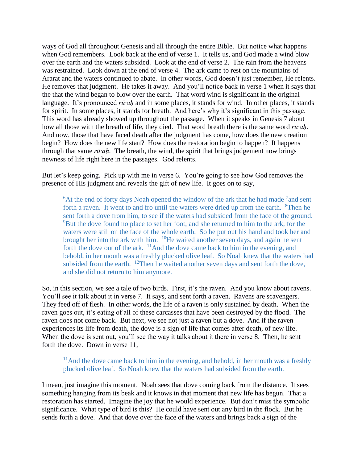ways of God all throughout Genesis and all through the entire Bible. But notice what happens when God remembers. Look back at the end of verse 1. It tells us, and God made a wind blow over the earth and the waters subsided. Look at the end of verse 2. The rain from the heavens was restrained. Look down at the end of verse 4. The ark came to rest on the mountains of Ararat and the waters continued to abate. In other words, God doesn't just remember, He relents. He removes that judgment. He takes it away. And you'll notice back in verse 1 when it says that the that the wind began to blow over the earth. That word wind is significant in the original language. It's pronounced *rū·ah* and in some places, it stands for wind. In other places, it stands for spirit. In some places, it stands for breath. And here's why it's significant in this passage. This word has already showed up throughout the passage. When it speaks in Genesis 7 about how all those with the breath of life, they died. That word breath there is the same word *rū·aḥ.* And now, those that have faced death after the judgment has come, how does the new creation begin? How does the new life start? How does the restoration begin to happen? It happens through that same *rū·aḥ*. The breath, the wind, the spirit that brings judgement now brings newness of life right here in the passages. God relents.

But let's keep going. Pick up with me in verse 6. You're going to see how God removes the presence of His judgment and reveals the gift of new life. It goes on to say,

 $6$ At the end of forty days Noah opened the window of the ark that he had made  $7$  and sent forth a raven. It went to and fro until the waters were dried up from the earth.  $8$ Then he sent forth a dove from him, to see if the waters had subsided from the face of the ground. <sup>9</sup>But the dove found no place to set her foot, and she returned to him to the ark, for the waters were still on the face of the whole earth. So he put out his hand and took her and brought her into the ark with him. <sup>10</sup>He waited another seven days, and again he sent forth the dove out of the ark.  $11$ And the dove came back to him in the evening, and behold, in her mouth was a freshly plucked olive leaf. So Noah knew that the waters had subsided from the earth. <sup>12</sup>Then he waited another seven days and sent forth the dove, and she did not return to him anymore.

So, in this section, we see a tale of two birds. First, it's the raven. And you know about ravens. You'll see it talk about it in verse 7. It says, and sent forth a raven. Ravens are scavengers. They feed off of flesh. In other words, the life of a raven is only sustained by death. When the raven goes out, it's eating of all of these carcasses that have been destroyed by the flood. The raven does not come back. But next, we see not just a raven but a dove. And if the raven experiences its life from death, the dove is a sign of life that comes after death, of new life. When the dove is sent out, you'll see the way it talks about it there in verse 8. Then, he sent forth the dove. Down in verse 11,

 $11$ And the dove came back to him in the evening, and behold, in her mouth was a freshly plucked olive leaf. So Noah knew that the waters had subsided from the earth.

I mean, just imagine this moment. Noah sees that dove coming back from the distance. It sees something hanging from its beak and it knows in that moment that new life has begun. That a restoration has started. Imagine the joy that he would experience. But don't miss the symbolic significance. What type of bird is this? He could have sent out any bird in the flock. But he sends forth a dove. And that dove over the face of the waters and brings back a sign of the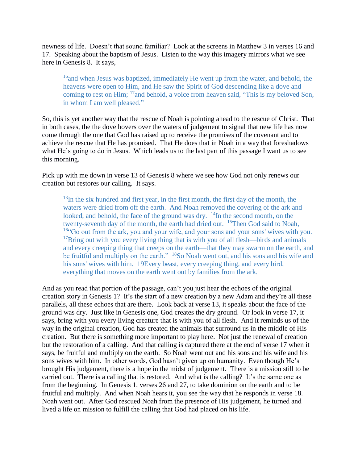newness of life. Doesn't that sound familiar? Look at the screens in Matthew 3 in verses 16 and 17. Speaking about the baptism of Jesus. Listen to the way this imagery mirrors what we see here in Genesis 8. It says,

<sup>16</sup>and when Jesus was baptized, immediately He went up from the water, and behold, the heavens were open to Him, and He saw the Spirit of God descending like a dove and coming to rest on Him; <sup>17</sup>and behold, a voice from heaven said, "This is my beloved Son, in whom I am well pleased."

So, this is yet another way that the rescue of Noah is pointing ahead to the rescue of Christ. That in both cases, the the dove hovers over the waters of judgement to signal that new life has now come through the one that God has raised up to receive the promises of the covenant and to achieve the rescue that He has promised. That He does that in Noah in a way that foreshadows what He's going to do in Jesus. Which leads us to the last part of this passage I want us to see this morning.

Pick up with me down in verse 13 of Genesis 8 where we see how God not only renews our creation but restores our calling. It says.

 $13$ In the six hundred and first year, in the first month, the first day of the month, the waters were dried from off the earth. And Noah removed the covering of the ark and looked, and behold, the face of the ground was dry. <sup>14</sup>In the second month, on the twenty-seventh day of the month, the earth had dried out. <sup>15</sup>Then God said to Noah, <sup>16"</sup>Go out from the ark, you and your wife, and your sons and your sons' wives with you.  $17$ Bring out with you every living thing that is with you of all flesh—birds and animals and every creeping thing that creeps on the earth—that they may swarm on the earth, and be fruitful and multiply on the earth." <sup>18</sup>So Noah went out, and his sons and his wife and his sons' wives with him. 19Every beast, every creeping thing, and every bird, everything that moves on the earth went out by families from the ark.

And as you read that portion of the passage, can't you just hear the echoes of the original creation story in Genesis 1? It's the start of a new creation by a new Adam and they're all these parallels, all these echoes that are there. Look back at verse 13, it speaks about the face of the ground was dry. Just like in Genesis one, God creates the dry ground. Or look in verse 17, it says, bring with you every living creature that is with you of all flesh. And it reminds us of the way in the original creation, God has created the animals that surround us in the middle of His creation. But there is something more important to play here. Not just the renewal of creation but the restoration of a calling. And that calling is captured there at the end of verse 17 when it says, be fruitful and multiply on the earth. So Noah went out and his sons and his wife and his sons wives with him. In other words, God hasn't given up on humanity. Even though He's brought His judgement, there is a hope in the midst of judgement. There is a mission still to be carried out. There is a calling that is restored. And what is the calling? It's the same one as from the beginning. In Genesis 1, verses 26 and 27, to take dominion on the earth and to be fruitful and multiply. And when Noah hears it, you see the way that he responds in verse 18. Noah went out. After God rescued Noah from the presence of His judgement, he turned and lived a life on mission to fulfill the calling that God had placed on his life.